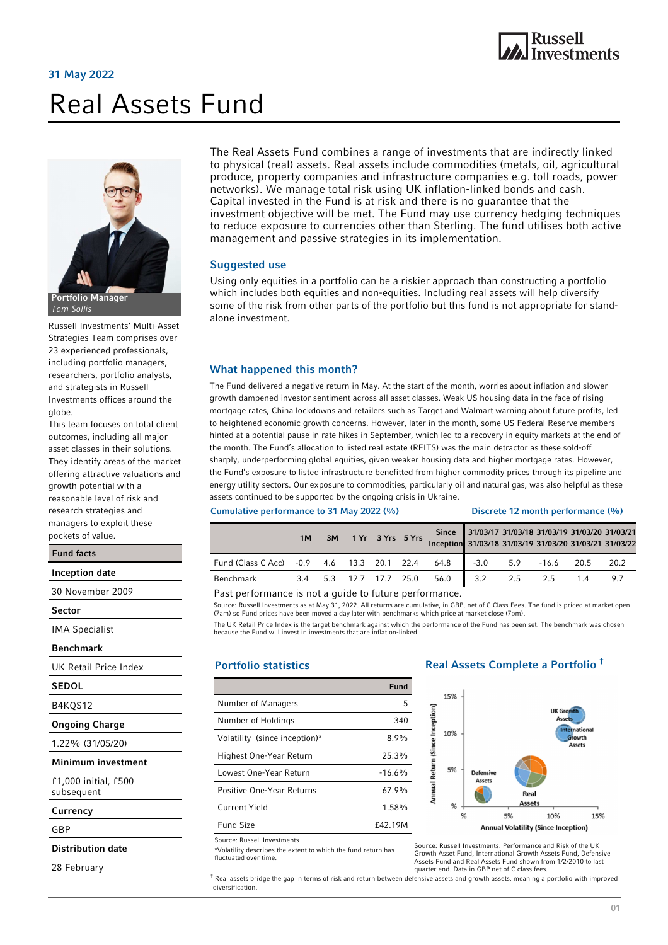# Real Assets Fund





Tom Sollis

Russell Investments' Multi-Asset Strategies Team comprises over 23 experienced professionals, including portfolio managers, researchers, portfolio analysts, and strategists in Russell Investments offices around the globe.

This team focuses on total client outcomes, including all major asset classes in their solutions. They identify areas of the market offering attractive valuations and growth potential with a reasonable level of risk and pockets of value.

j research strategies and managers to exploit these Inception date 30 November 2009 Sector IMA Specialist Benchmark UK Retail Price Index **SEDOL** B4KQS12 Ongoing Charge 1.22% (31/05/20) Minimum investment £1,000 initial, £500 subsequent Currency **GRP** Fund facts

Distribution date

28 February

The Real Assets Fund combines a range of investments that are indirectly linked to physical (real) assets. Real assets include commodities (metals, oil, agricultural produce, property companies and infrastructure companies e.g. toll roads, power networks). We manage total risk using UK inflation-linked bonds and cash. Capital invested in the Fund is at risk and there is no guarantee that the investment objective will be met. The Fund may use currency hedging techniques to reduce exposure to currencies other than Sterling. The fund utilises both active management and passive strategies in its implementation.

#### Suggested use

Using only equities in a portfolio can be a riskier approach than constructing a portfolio which includes both equities and non-equities. Including real assets will help diversify some of the risk from other parts of the portfolio but this fund is not appropriate for standalone investment.

#### What happened this month?

The Fund delivered a negative return in May. At the start of the month, worries about inflation and slower growth dampened investor sentiment across all asset classes. Weak US housing data in the face of rising mortgage rates, China lockdowns and retailers such as Target and Walmart warning about future profits, led to heightened economic growth concerns. However, later in the month, some US Federal Reserve members hinted at a potential pause in rate hikes in September, which led to a recovery in equity markets at the end of the month. The Fund's allocation to listed real estate (REITS) was the main detractor as these sold-off sharply, underperforming global equities, given weaker housing data and higher mortgage rates. However, the Fund's exposure to listed infrastructure benefitted from higher commodity prices through its pipeline and energy utility sectors. Our exposure to commodities, particularly oil and natural gas, was also helpful as these assets continued to be supported by the ongoing crisis in Ukraine.

#### Cumulative performance to 31 May 2022 (%) Discrete 12 month performance (%)

|                                                       | 1M |  | 3M 1 Yr 3 Yrs 5 Yrs |  |  | Inception 31/03/18 31/03/19 31/03/20 31/03/21 31/03/22 | Since 31/03/17 31/03/18 31/03/19 31/03/20 31/03/21 |     |     |              |      |
|-------------------------------------------------------|----|--|---------------------|--|--|--------------------------------------------------------|----------------------------------------------------|-----|-----|--------------|------|
| Fund (Class C Acc) -0.9 4.6 13.3 20.1 22.4 64.8       |    |  |                     |  |  |                                                        | $-3.0$                                             | 5.9 |     | $-16.6$ 20.5 | 20.2 |
| Benchmark                                             |    |  |                     |  |  | 3.4 5.3 12.7 17.7 25.0 56.0                            | 3.2                                                | 2.5 | 2.5 | 14           | 97   |
| Bast performance is not a quido to future performance |    |  |                     |  |  |                                                        |                                                    |     |     |              |      |

Past performance is not a guide to future performance.

Source: Russell Investments as at May 31, 2022. All returns are cumulative, in GBP, net of C Class Fees. The fund is priced at market open (7am) so Fund prices have been moved a day later with benchmarks which price at market close (7pm).

The UK Retail Price Index is the target benchmark against which the performance of the Fund has been set. The benchmark was chosen because the Fund will invest in investments that are inflation-linked.

#### Portfolio statistics

|                               | Fund           |
|-------------------------------|----------------|
| Number of Managers            | 5              |
| Number of Holdings            | 340            |
| Volatility (since inception)* | $8.9\%$        |
| Highest One-Year Return       | 25.3%          |
| Lowest One-Year Return        | $-16.6%$       |
| Positive One-Year Returns     | 67.9%          |
| Current Yield                 | 1.58%          |
| <b>Fund Size</b>              | <b>f42 19M</b> |

Source: Russell Investments

diversification.

\*Volatility describes the extent to which the fund return has fluctuated over time.

## Real Assets Complete a Portfolio †



Source: Russell Investments. Performance and Risk of the UK Growth Asset Fund, International Growth Assets Fund, Defensive Assets Fund and Real Assets Fund shown from 1/2/2010 to last quarter end. Data in GBP net of C class fees.

 $^\dagger$  Real assets bridge the gap in terms of risk and return between defensive assets and growth assets, meaning a portfolio with improved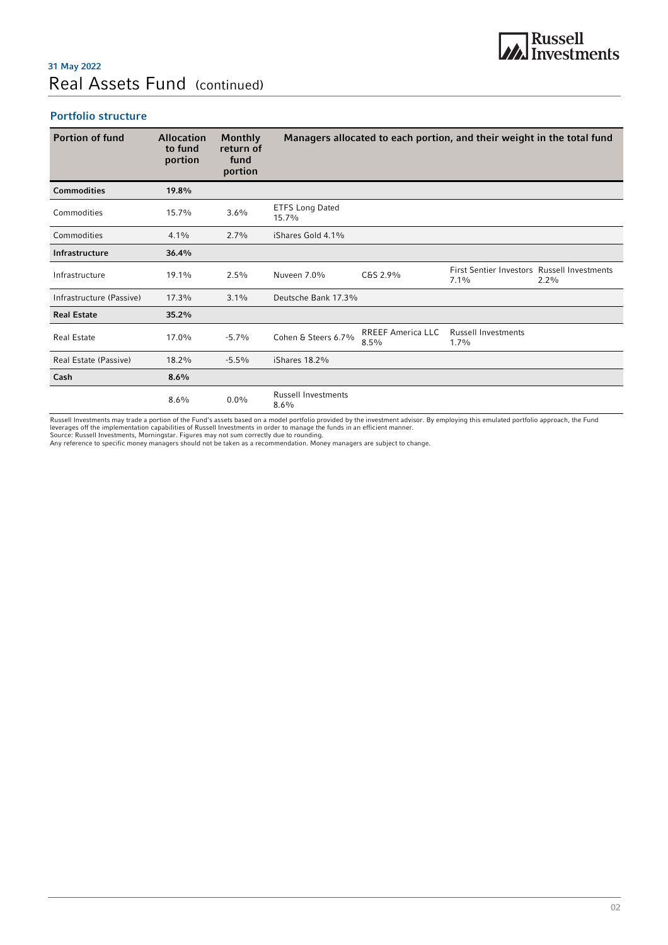# Real Assets Fund (continued) 31 May 2022

## Portfolio structure

| <b>Portion of fund</b>   | <b>Allocation</b><br>to fund<br>portion | <b>Monthly</b><br>return of<br>fund<br>portion |                                    |                                  | Managers allocated to each portion, and their weight in the total fund |         |
|--------------------------|-----------------------------------------|------------------------------------------------|------------------------------------|----------------------------------|------------------------------------------------------------------------|---------|
| <b>Commodities</b>       | 19.8%                                   |                                                |                                    |                                  |                                                                        |         |
| Commodities              | 15.7%                                   | 3.6%                                           | <b>ETFS Long Dated</b><br>15.7%    |                                  |                                                                        |         |
| Commodities              | $4.1\%$                                 | 2.7%                                           | iShares Gold 4.1%                  |                                  |                                                                        |         |
| Infrastructure           | 36.4%                                   |                                                |                                    |                                  |                                                                        |         |
| Infrastructure           | 19.1%                                   | $2.5\%$                                        | Nuveen 7.0%                        | C&S 2.9%                         | <b>First Sentier Investors Russell Investments</b><br>$7.1\%$          | $2.2\%$ |
| Infrastructure (Passive) | 17.3%                                   | 3.1%                                           | Deutsche Bank 17.3%                |                                  |                                                                        |         |
| <b>Real Estate</b>       | 35.2%                                   |                                                |                                    |                                  |                                                                        |         |
| <b>Real Estate</b>       | 17.0%                                   | $-5.7%$                                        | Cohen & Steers 6.7%                | <b>RREEF America LLC</b><br>8.5% | <b>Russell Investments</b><br>$1.7\%$                                  |         |
| Real Estate (Passive)    | 18.2%                                   | $-5.5%$                                        | iShares 18.2%                      |                                  |                                                                        |         |
| Cash                     | 8.6%                                    |                                                |                                    |                                  |                                                                        |         |
|                          | 8.6%                                    | $0.0\%$                                        | <b>Russell Investments</b><br>8.6% |                                  |                                                                        |         |

Russell Investments may trade a portion of the Fund's assets based on a model portfolio provided by the investment advisor. By employing this emulated portfolio approach, the Fund<br>leverages off the implementation capabilit